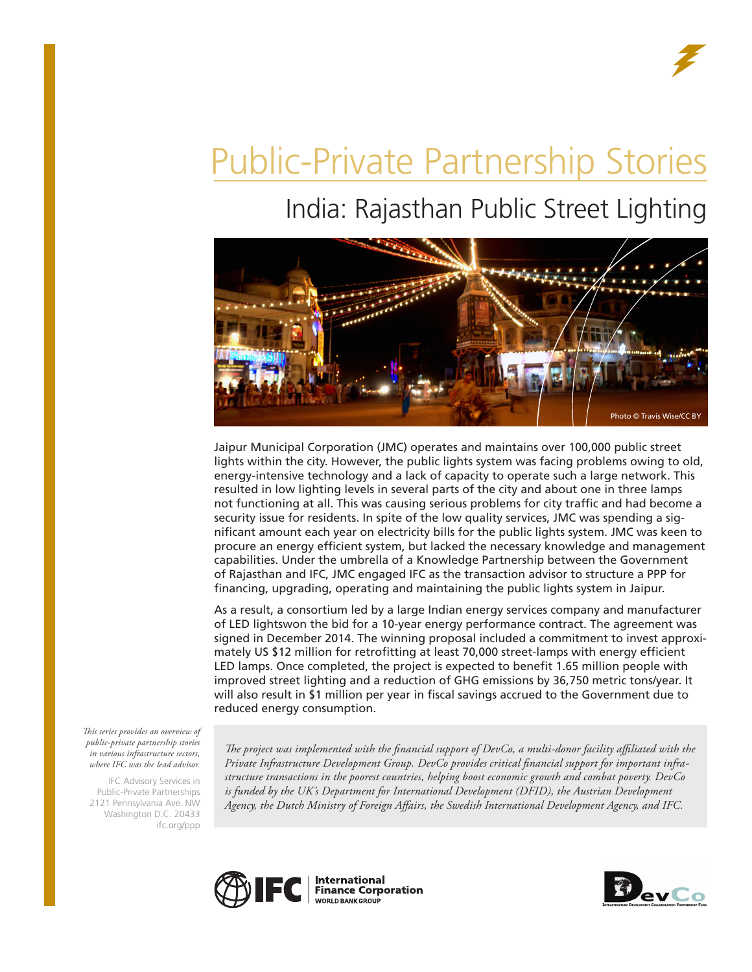# Public-Private Partnership Stories

## India: Rajasthan Public Street Lighting



Jaipur Municipal Corporation (JMC) operates and maintains over 100,000 public street lights within the city. However, the public lights system was facing problems owing to old, energy-intensive technology and a lack of capacity to operate such a large network. This resulted in low lighting levels in several parts of the city and about one in three lamps not functioning at all. This was causing serious problems for city traffic and had become a security issue for residents. In spite of the low quality services, JMC was spending a significant amount each year on electricity bills for the public lights system. JMC was keen to procure an energy efficient system, but lacked the necessary knowledge and management capabilities. Under the umbrella of a Knowledge Partnership between the Government of Rajasthan and IFC, JMC engaged IFC as the transaction advisor to structure a PPP for financing, upgrading, operating and maintaining the public lights system in Jaipur.

As a result, a consortium led by a large Indian energy services company and manufacturer of LED lightswon the bid for a 10-year energy performance contract. The agreement was signed in December 2014. The winning proposal included a commitment to invest approximately US \$12 million for retrofitting at least 70,000 street-lamps with energy efficient LED lamps. Once completed, the project is expected to benefit 1.65 million people with improved street lighting and a reduction of GHG emissions by 36,750 metric tons/year. It will also result in \$1 million per year in fiscal savings accrued to the Government due to reduced energy consumption.

*This series provides an overview of public-private partnership stories in various infrastructure sectors, where IFC was the lead advisor.* 

IFC Advisory Services in Public-Private Partnerships 2121 Pennsylvania Ave. NW Washington D.C. 20433 ifc.org/ppp

*The project was implemented with the financial support of DevCo, a multi-donor facility affiliated with the Private Infrastructure Development Group. DevCo provides critical financial support for important infrastructure transactions in the poorest countries, helping boost economic growth and combat poverty. DevCo*  is funded by the UK's Department for International Development (DFID), the Austrian Development *Agency, the Dutch Ministry of Foreign Affairs, the Swedish International Development Agency, and IFC.*